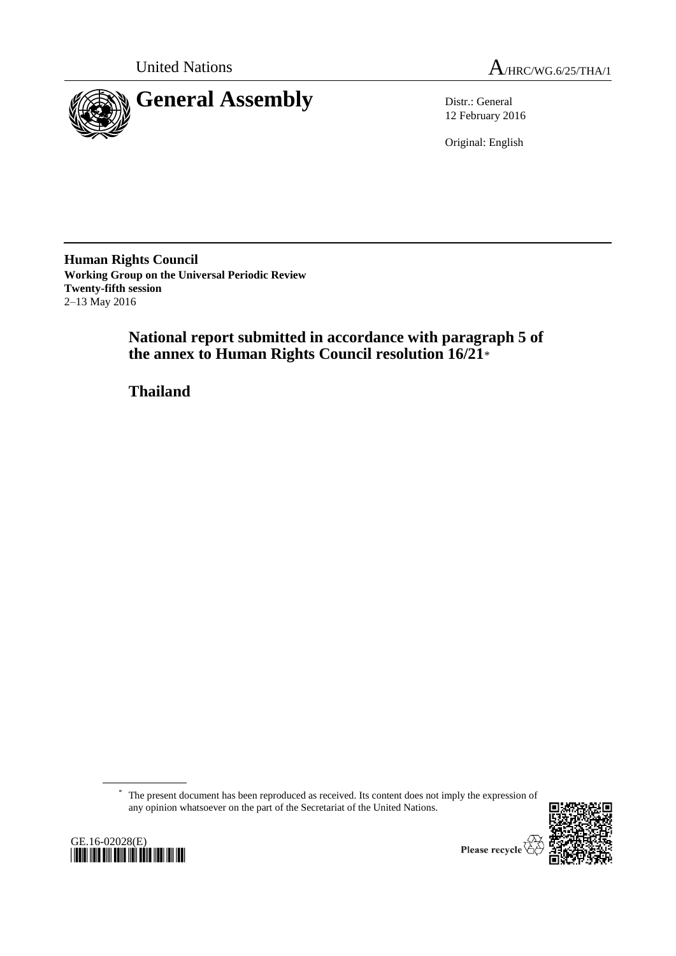



12 February 2016

Original: English

**Human Rights Council Working Group on the Universal Periodic Review Twenty-fifth session** 2–13 May 2016

> **National report submitted in accordance with paragraph 5 of the annex to Human Rights Council resolution 16/21**\*

**Thailand**

\* The present document has been reproduced as received. Its content does not imply the expression of any opinion whatsoever on the part of the Secretariat of the United Nations.





Please recycle  $\overline{\mathbb{V}}$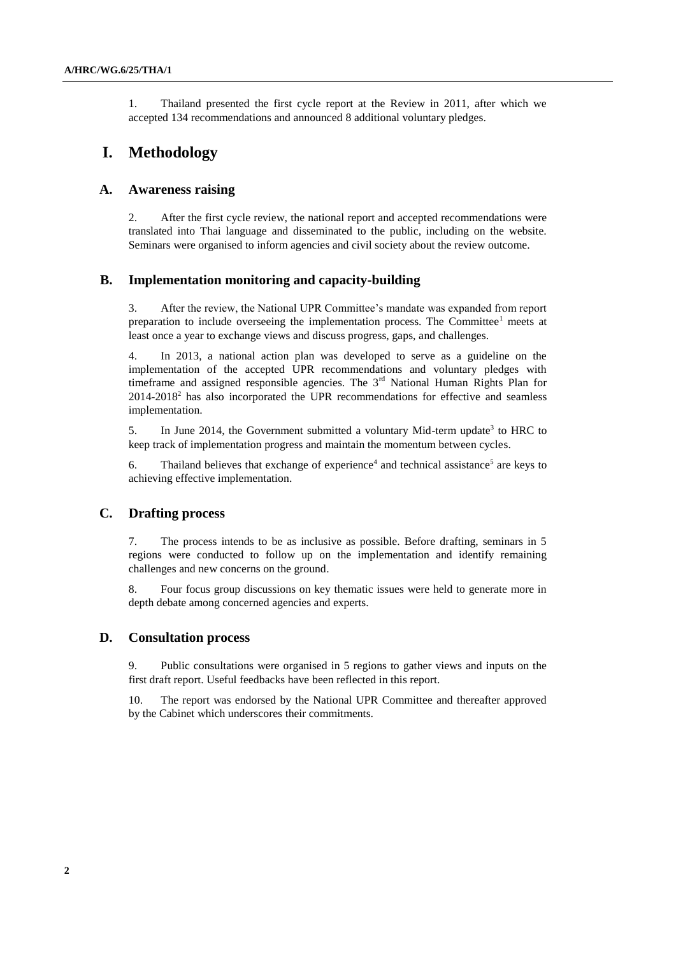1. Thailand presented the first cycle report at the Review in 2011, after which we accepted 134 recommendations and announced 8 additional voluntary pledges.

# **I. Methodology**

### **A. Awareness raising**

2. After the first cycle review, the national report and accepted recommendations were translated into Thai language and disseminated to the public, including on the website. Seminars were organised to inform agencies and civil society about the review outcome.

### **B. Implementation monitoring and capacity-building**

3. After the review, the National UPR Committee's mandate was expanded from report preparation to include overseeing the implementation process. The Committee<sup>1</sup> meets at least once a year to exchange views and discuss progress, gaps, and challenges.

4. In 2013, a national action plan was developed to serve as a guideline on the implementation of the accepted UPR recommendations and voluntary pledges with timeframe and assigned responsible agencies. The  $3<sup>rd</sup>$  National Human Rights Plan for  $2014-2018<sup>2</sup>$  has also incorporated the UPR recommendations for effective and seamless implementation.

5. In June 2014, the Government submitted a voluntary Mid-term update<sup>3</sup> to HRC to keep track of implementation progress and maintain the momentum between cycles.

6. Thailand believes that exchange of experience<sup>4</sup> and technical assistance<sup>5</sup> are keys to achieving effective implementation.

## **C. Drafting process**

7. The process intends to be as inclusive as possible. Before drafting, seminars in 5 regions were conducted to follow up on the implementation and identify remaining challenges and new concerns on the ground.

8. Four focus group discussions on key thematic issues were held to generate more in depth debate among concerned agencies and experts.

## **D. Consultation process**

9. Public consultations were organised in 5 regions to gather views and inputs on the first draft report. Useful feedbacks have been reflected in this report.

The report was endorsed by the National UPR Committee and thereafter approved by the Cabinet which underscores their commitments.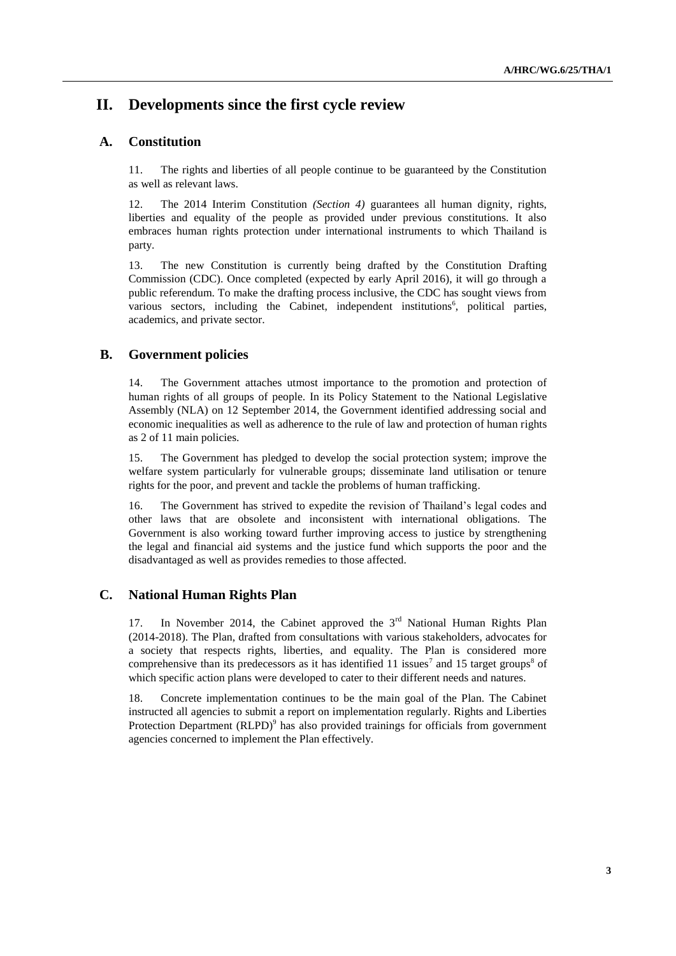# **II. Developments since the first cycle review**

## **A. Constitution**

11. The rights and liberties of all people continue to be guaranteed by the Constitution as well as relevant laws.

12. The 2014 Interim Constitution *(Section 4)* guarantees all human dignity, rights, liberties and equality of the people as provided under previous constitutions. It also embraces human rights protection under international instruments to which Thailand is party.

13. The new Constitution is currently being drafted by the Constitution Drafting Commission (CDC). Once completed (expected by early April 2016), it will go through a public referendum. To make the drafting process inclusive, the CDC has sought views from various sectors, including the Cabinet, independent institutions<sup>6</sup>, political parties, academics, and private sector.

## **B. Government policies**

14. The Government attaches utmost importance to the promotion and protection of human rights of all groups of people. In its Policy Statement to the National Legislative Assembly (NLA) on 12 September 2014, the Government identified addressing social and economic inequalities as well as adherence to the rule of law and protection of human rights as 2 of 11 main policies.

15. The Government has pledged to develop the social protection system; improve the welfare system particularly for vulnerable groups; disseminate land utilisation or tenure rights for the poor, and prevent and tackle the problems of human trafficking.

16. The Government has strived to expedite the revision of Thailand's legal codes and other laws that are obsolete and inconsistent with international obligations. The Government is also working toward further improving access to justice by strengthening the legal and financial aid systems and the justice fund which supports the poor and the disadvantaged as well as provides remedies to those affected.

## **C. National Human Rights Plan**

17. In November 2014, the Cabinet approved the  $3<sup>rd</sup>$  National Human Rights Plan (2014-2018). The Plan, drafted from consultations with various stakeholders, advocates for a society that respects rights, liberties, and equality. The Plan is considered more comprehensive than its predecessors as it has identified 11 issues<sup>7</sup> and 15 target groups<sup>8</sup> of which specific action plans were developed to cater to their different needs and natures.

18. Concrete implementation continues to be the main goal of the Plan. The Cabinet instructed all agencies to submit a report on implementation regularly. Rights and Liberties Protection Department  $(RLPD)^9$  has also provided trainings for officials from government agencies concerned to implement the Plan effectively.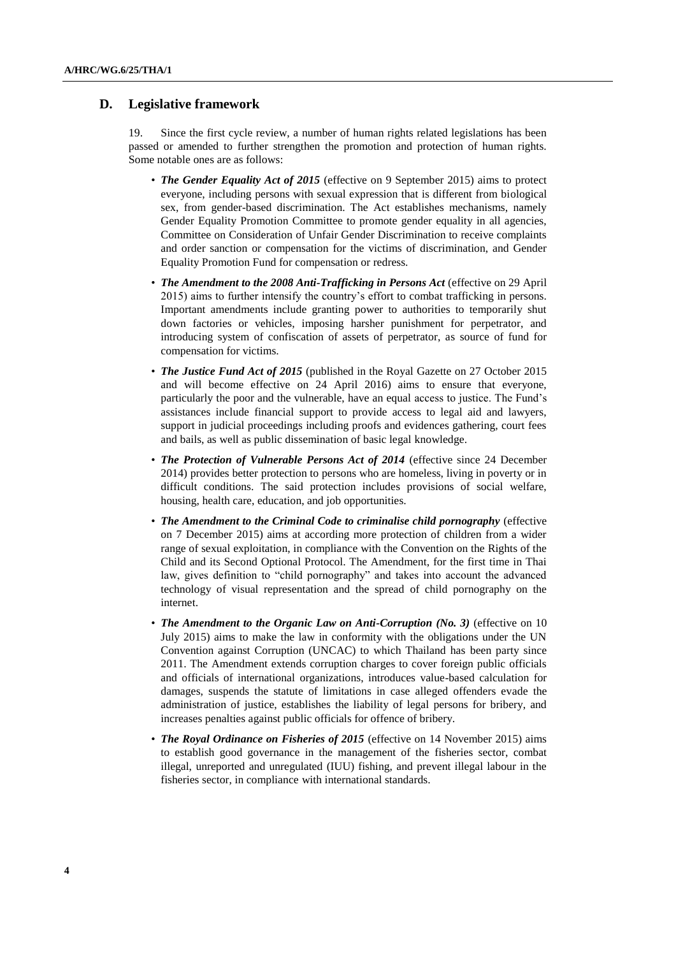## **D. Legislative framework**

19. Since the first cycle review, a number of human rights related legislations has been passed or amended to further strengthen the promotion and protection of human rights. Some notable ones are as follows:

- *The Gender Equality Act of 2015* (effective on 9 September 2015) aims to protect everyone, including persons with sexual expression that is different from biological sex, from gender-based discrimination. The Act establishes mechanisms, namely Gender Equality Promotion Committee to promote gender equality in all agencies, Committee on Consideration of Unfair Gender Discrimination to receive complaints and order sanction or compensation for the victims of discrimination, and Gender Equality Promotion Fund for compensation or redress.
- *The Amendment to the 2008 Anti-Trafficking in Persons Act* (effective on 29 April 2015) aims to further intensify the country's effort to combat trafficking in persons. Important amendments include granting power to authorities to temporarily shut down factories or vehicles, imposing harsher punishment for perpetrator, and introducing system of confiscation of assets of perpetrator, as source of fund for compensation for victims.
- *The Justice Fund Act of 2015* (published in the Royal Gazette on 27 October 2015 and will become effective on 24 April 2016) aims to ensure that everyone, particularly the poor and the vulnerable, have an equal access to justice. The Fund's assistances include financial support to provide access to legal aid and lawyers, support in judicial proceedings including proofs and evidences gathering, court fees and bails, as well as public dissemination of basic legal knowledge.
- *The Protection of Vulnerable Persons Act of 2014* (effective since 24 December 2014) provides better protection to persons who are homeless, living in poverty or in difficult conditions. The said protection includes provisions of social welfare, housing, health care, education, and job opportunities.
- *The Amendment to the Criminal Code to criminalise child pornography* (effective on 7 December 2015) aims at according more protection of children from a wider range of sexual exploitation, in compliance with the Convention on the Rights of the Child and its Second Optional Protocol. The Amendment, for the first time in Thai law, gives definition to "child pornography" and takes into account the advanced technology of visual representation and the spread of child pornography on the internet.
- *The Amendment to the Organic Law on Anti-Corruption (No. 3)* (effective on 10 July 2015) aims to make the law in conformity with the obligations under the UN Convention against Corruption (UNCAC) to which Thailand has been party since 2011. The Amendment extends corruption charges to cover foreign public officials and officials of international organizations, introduces value-based calculation for damages, suspends the statute of limitations in case alleged offenders evade the administration of justice, establishes the liability of legal persons for bribery, and increases penalties against public officials for offence of bribery.
- *The Royal Ordinance on Fisheries of 2015* (effective on 14 November 2015) aims to establish good governance in the management of the fisheries sector, combat illegal, unreported and unregulated (IUU) fishing, and prevent illegal labour in the fisheries sector, in compliance with international standards.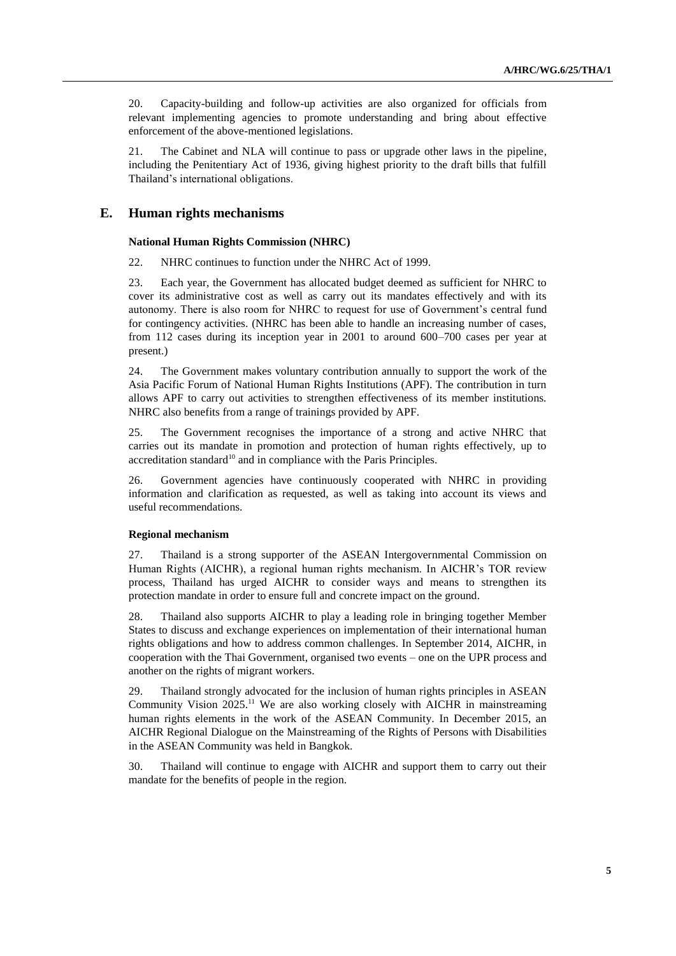20. Capacity-building and follow-up activities are also organized for officials from relevant implementing agencies to promote understanding and bring about effective enforcement of the above-mentioned legislations.

21. The Cabinet and NLA will continue to pass or upgrade other laws in the pipeline, including the Penitentiary Act of 1936, giving highest priority to the draft bills that fulfill Thailand's international obligations.

### **E. Human rights mechanisms**

#### **National Human Rights Commission (NHRC)**

22. NHRC continues to function under the NHRC Act of 1999.

23. Each year, the Government has allocated budget deemed as sufficient for NHRC to cover its administrative cost as well as carry out its mandates effectively and with its autonomy. There is also room for NHRC to request for use of Government's central fund for contingency activities. (NHRC has been able to handle an increasing number of cases, from 112 cases during its inception year in 2001 to around 600–700 cases per year at present.)

24. The Government makes voluntary contribution annually to support the work of the Asia Pacific Forum of National Human Rights Institutions (APF). The contribution in turn allows APF to carry out activities to strengthen effectiveness of its member institutions. NHRC also benefits from a range of trainings provided by APF.

25. The Government recognises the importance of a strong and active NHRC that carries out its mandate in promotion and protection of human rights effectively, up to accreditation standard<sup>10</sup> and in compliance with the Paris Principles.

26. Government agencies have continuously cooperated with NHRC in providing information and clarification as requested, as well as taking into account its views and useful recommendations.

#### **Regional mechanism**

27. Thailand is a strong supporter of the ASEAN Intergovernmental Commission on Human Rights (AICHR), a regional human rights mechanism. In AICHR's TOR review process, Thailand has urged AICHR to consider ways and means to strengthen its protection mandate in order to ensure full and concrete impact on the ground.

28. Thailand also supports AICHR to play a leading role in bringing together Member States to discuss and exchange experiences on implementation of their international human rights obligations and how to address common challenges. In September 2014, AICHR, in cooperation with the Thai Government, organised two events – one on the UPR process and another on the rights of migrant workers.

29. Thailand strongly advocated for the inclusion of human rights principles in ASEAN Community Vision 2025.<sup>11</sup> We are also working closely with AICHR in mainstreaming human rights elements in the work of the ASEAN Community. In December 2015, an AICHR Regional Dialogue on the Mainstreaming of the Rights of Persons with Disabilities in the ASEAN Community was held in Bangkok.

30. Thailand will continue to engage with AICHR and support them to carry out their mandate for the benefits of people in the region.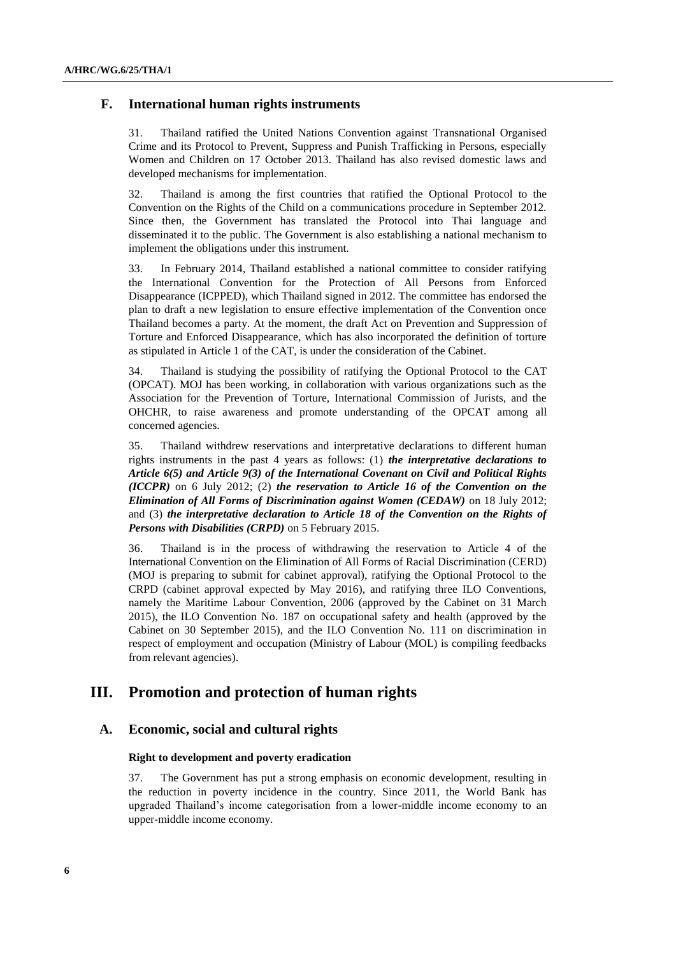## **F. International human rights instruments**

31. Thailand ratified the United Nations Convention against Transnational Organised Crime and its Protocol to Prevent, Suppress and Punish Trafficking in Persons, especially Women and Children on 17 October 2013. Thailand has also revised domestic laws and developed mechanisms for implementation.

32. Thailand is among the first countries that ratified the Optional Protocol to the Convention on the Rights of the Child on a communications procedure in September 2012. Since then, the Government has translated the Protocol into Thai language and disseminated it to the public. The Government is also establishing a national mechanism to implement the obligations under this instrument.

33. In February 2014, Thailand established a national committee to consider ratifying the International Convention for the Protection of All Persons from Enforced Disappearance (ICPPED), which Thailand signed in 2012. The committee has endorsed the plan to draft a new legislation to ensure effective implementation of the Convention once Thailand becomes a party. At the moment, the draft Act on Prevention and Suppression of Torture and Enforced Disappearance, which has also incorporated the definition of torture as stipulated in Article 1 of the CAT, is under the consideration of the Cabinet.

34. Thailand is studying the possibility of ratifying the Optional Protocol to the CAT (OPCAT). MOJ has been working, in collaboration with various organizations such as the Association for the Prevention of Torture, International Commission of Jurists, and the OHCHR, to raise awareness and promote understanding of the OPCAT among all concerned agencies.

35. Thailand withdrew reservations and interpretative declarations to different human rights instruments in the past 4 years as follows: (1) *the interpretative declarations to Article 6(5) and Article 9(3) of the International Covenant on Civil and Political Rights (ICCPR)* on 6 July 2012; (2) *the reservation to Article 16 of the Convention on the Elimination of All Forms of Discrimination against Women (CEDAW)* on 18 July 2012; and (3) *the interpretative declaration to Article 18 of the Convention on the Rights of Persons with Disabilities (CRPD)* on 5 February 2015.

36. Thailand is in the process of withdrawing the reservation to Article 4 of the International Convention on the Elimination of All Forms of Racial Discrimination (CERD) (MOJ is preparing to submit for cabinet approval), ratifying the Optional Protocol to the CRPD (cabinet approval expected by May 2016), and ratifying three ILO Conventions, namely the Maritime Labour Convention, 2006 (approved by the Cabinet on 31 March 2015), the ILO Convention No. 187 on occupational safety and health (approved by the Cabinet on 30 September 2015), and the ILO Convention No. 111 on discrimination in respect of employment and occupation (Ministry of Labour (MOL) is compiling feedbacks from relevant agencies).

# **III. Promotion and protection of human rights**

## **A. Economic, social and cultural rights**

#### **Right to development and poverty eradication**

37. The Government has put a strong emphasis on economic development, resulting in the reduction in poverty incidence in the country. Since 2011, the World Bank has upgraded Thailand's income categorisation from a lower-middle income economy to an upper-middle income economy.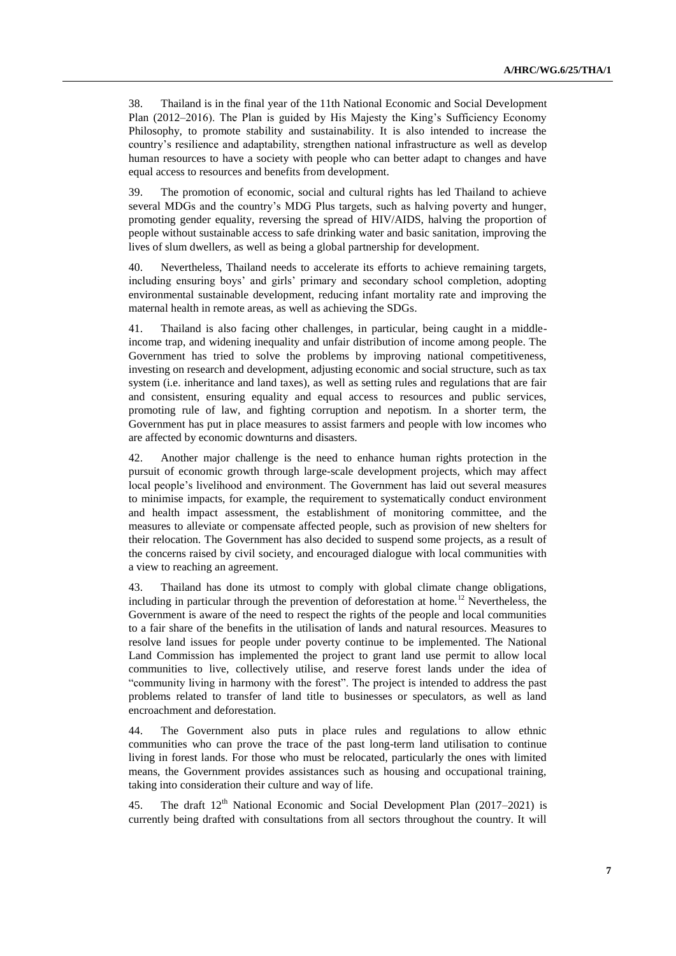38. Thailand is in the final year of the 11th National Economic and Social Development Plan (2012–2016). The Plan is guided by His Majesty the King's Sufficiency Economy Philosophy, to promote stability and sustainability. It is also intended to increase the country's resilience and adaptability, strengthen national infrastructure as well as develop human resources to have a society with people who can better adapt to changes and have equal access to resources and benefits from development.

39. The promotion of economic, social and cultural rights has led Thailand to achieve several MDGs and the country's MDG Plus targets, such as halving poverty and hunger, promoting gender equality, reversing the spread of HIV/AIDS, halving the proportion of people without sustainable access to safe drinking water and basic sanitation, improving the lives of slum dwellers, as well as being a global partnership for development.

40. Nevertheless, Thailand needs to accelerate its efforts to achieve remaining targets, including ensuring boys' and girls' primary and secondary school completion, adopting environmental sustainable development, reducing infant mortality rate and improving the maternal health in remote areas, as well as achieving the SDGs.

41. Thailand is also facing other challenges, in particular, being caught in a middleincome trap, and widening inequality and unfair distribution of income among people. The Government has tried to solve the problems by improving national competitiveness, investing on research and development, adjusting economic and social structure, such as tax system (i.e. inheritance and land taxes), as well as setting rules and regulations that are fair and consistent, ensuring equality and equal access to resources and public services, promoting rule of law, and fighting corruption and nepotism. In a shorter term, the Government has put in place measures to assist farmers and people with low incomes who are affected by economic downturns and disasters.

42. Another major challenge is the need to enhance human rights protection in the pursuit of economic growth through large-scale development projects, which may affect local people's livelihood and environment. The Government has laid out several measures to minimise impacts, for example, the requirement to systematically conduct environment and health impact assessment, the establishment of monitoring committee, and the measures to alleviate or compensate affected people, such as provision of new shelters for their relocation. The Government has also decided to suspend some projects, as a result of the concerns raised by civil society, and encouraged dialogue with local communities with a view to reaching an agreement.

43. Thailand has done its utmost to comply with global climate change obligations, including in particular through the prevention of deforestation at home.<sup>12</sup> Nevertheless, the Government is aware of the need to respect the rights of the people and local communities to a fair share of the benefits in the utilisation of lands and natural resources. Measures to resolve land issues for people under poverty continue to be implemented. The National Land Commission has implemented the project to grant land use permit to allow local communities to live, collectively utilise, and reserve forest lands under the idea of "community living in harmony with the forest". The project is intended to address the past problems related to transfer of land title to businesses or speculators, as well as land encroachment and deforestation.

44. The Government also puts in place rules and regulations to allow ethnic communities who can prove the trace of the past long-term land utilisation to continue living in forest lands. For those who must be relocated, particularly the ones with limited means, the Government provides assistances such as housing and occupational training, taking into consideration their culture and way of life.

45. The draft  $12<sup>th</sup>$  National Economic and Social Development Plan (2017–2021) is currently being drafted with consultations from all sectors throughout the country. It will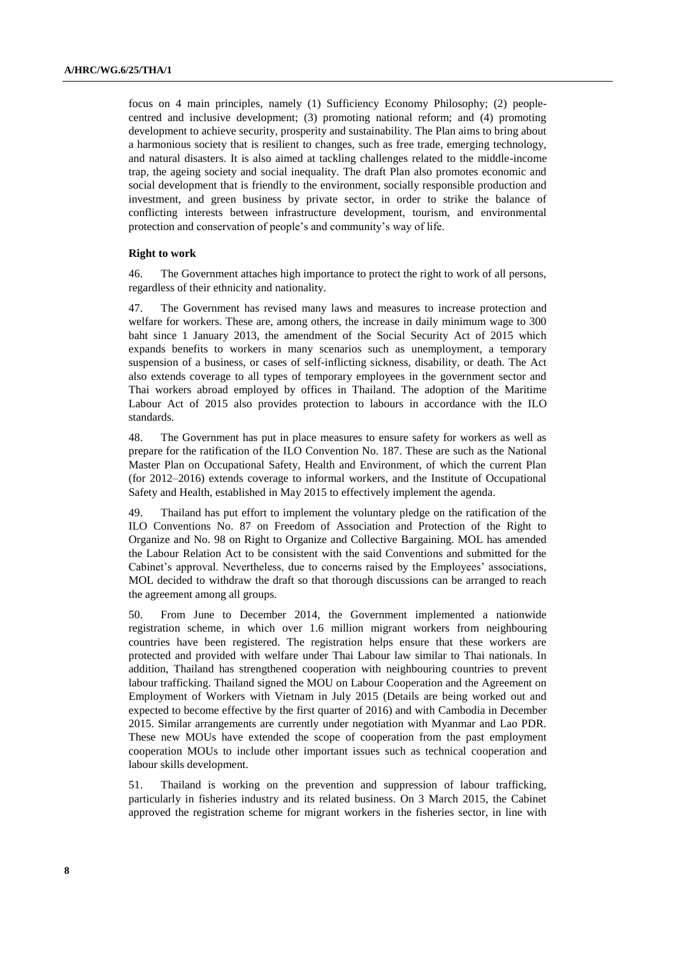focus on 4 main principles, namely (1) Sufficiency Economy Philosophy; (2) peoplecentred and inclusive development; (3) promoting national reform; and (4) promoting development to achieve security, prosperity and sustainability. The Plan aims to bring about a harmonious society that is resilient to changes, such as free trade, emerging technology, and natural disasters. It is also aimed at tackling challenges related to the middle-income trap, the ageing society and social inequality. The draft Plan also promotes economic and social development that is friendly to the environment, socially responsible production and investment, and green business by private sector, in order to strike the balance of conflicting interests between infrastructure development, tourism, and environmental protection and conservation of people's and community's way of life.

#### **Right to work**

46. The Government attaches high importance to protect the right to work of all persons, regardless of their ethnicity and nationality.

47. The Government has revised many laws and measures to increase protection and welfare for workers. These are, among others, the increase in daily minimum wage to 300 baht since 1 January 2013, the amendment of the Social Security Act of 2015 which expands benefits to workers in many scenarios such as unemployment, a temporary suspension of a business, or cases of self-inflicting sickness, disability, or death. The Act also extends coverage to all types of temporary employees in the government sector and Thai workers abroad employed by offices in Thailand. The adoption of the Maritime Labour Act of 2015 also provides protection to labours in accordance with the ILO standards.

48. The Government has put in place measures to ensure safety for workers as well as prepare for the ratification of the ILO Convention No. 187. These are such as the National Master Plan on Occupational Safety, Health and Environment, of which the current Plan (for 2012–2016) extends coverage to informal workers, and the Institute of Occupational Safety and Health, established in May 2015 to effectively implement the agenda.

49. Thailand has put effort to implement the voluntary pledge on the ratification of the ILO Conventions No. 87 on Freedom of Association and Protection of the Right to Organize and No. 98 on Right to Organize and Collective Bargaining. MOL has amended the Labour Relation Act to be consistent with the said Conventions and submitted for the Cabinet's approval. Nevertheless, due to concerns raised by the Employees' associations, MOL decided to withdraw the draft so that thorough discussions can be arranged to reach the agreement among all groups.

50. From June to December 2014, the Government implemented a nationwide registration scheme, in which over 1.6 million migrant workers from neighbouring countries have been registered. The registration helps ensure that these workers are protected and provided with welfare under Thai Labour law similar to Thai nationals. In addition, Thailand has strengthened cooperation with neighbouring countries to prevent labour trafficking. Thailand signed the MOU on Labour Cooperation and the Agreement on Employment of Workers with Vietnam in July 2015 (Details are being worked out and expected to become effective by the first quarter of 2016) and with Cambodia in December 2015. Similar arrangements are currently under negotiation with Myanmar and Lao PDR. These new MOUs have extended the scope of cooperation from the past employment cooperation MOUs to include other important issues such as technical cooperation and labour skills development.

51. Thailand is working on the prevention and suppression of labour trafficking, particularly in fisheries industry and its related business. On 3 March 2015, the Cabinet approved the registration scheme for migrant workers in the fisheries sector, in line with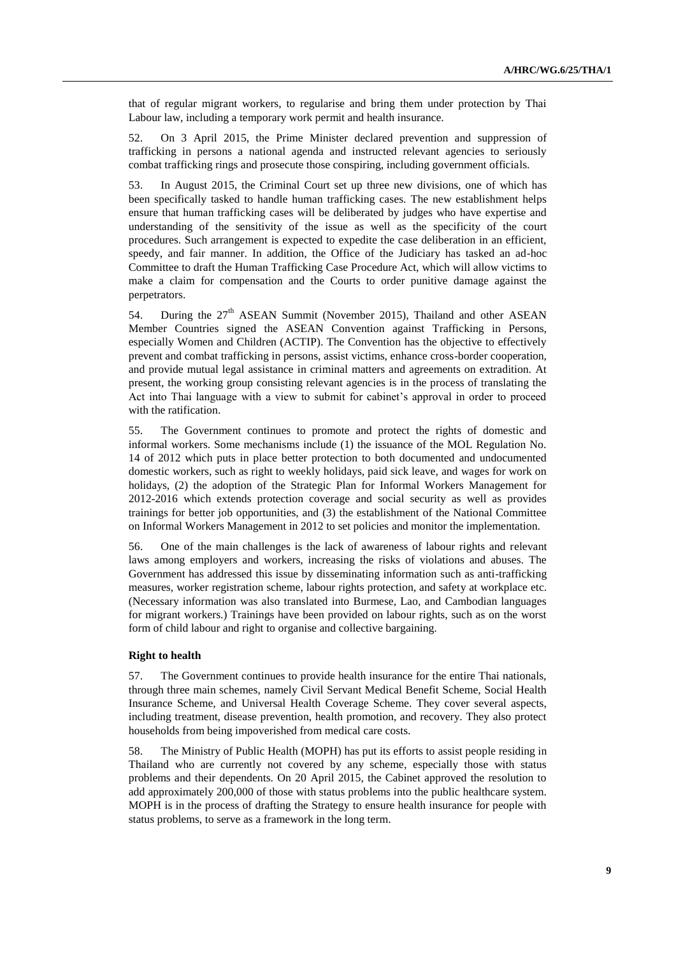that of regular migrant workers, to regularise and bring them under protection by Thai Labour law, including a temporary work permit and health insurance.

52. On 3 April 2015, the Prime Minister declared prevention and suppression of trafficking in persons a national agenda and instructed relevant agencies to seriously combat trafficking rings and prosecute those conspiring, including government officials.

53. In August 2015, the Criminal Court set up three new divisions, one of which has been specifically tasked to handle human trafficking cases. The new establishment helps ensure that human trafficking cases will be deliberated by judges who have expertise and understanding of the sensitivity of the issue as well as the specificity of the court procedures. Such arrangement is expected to expedite the case deliberation in an efficient, speedy, and fair manner. In addition, the Office of the Judiciary has tasked an ad-hoc Committee to draft the Human Trafficking Case Procedure Act, which will allow victims to make a claim for compensation and the Courts to order punitive damage against the perpetrators.

54. During the 27<sup>th</sup> ASEAN Summit (November 2015), Thailand and other ASEAN Member Countries signed the ASEAN Convention against Trafficking in Persons, especially Women and Children (ACTIP). The Convention has the objective to effectively prevent and combat trafficking in persons, assist victims, enhance cross-border cooperation, and provide mutual legal assistance in criminal matters and agreements on extradition. At present, the working group consisting relevant agencies is in the process of translating the Act into Thai language with a view to submit for cabinet's approval in order to proceed with the ratification.

55. The Government continues to promote and protect the rights of domestic and informal workers. Some mechanisms include (1) the issuance of the MOL Regulation No. 14 of 2012 which puts in place better protection to both documented and undocumented domestic workers, such as right to weekly holidays, paid sick leave, and wages for work on holidays, (2) the adoption of the Strategic Plan for Informal Workers Management for 2012-2016 which extends protection coverage and social security as well as provides trainings for better job opportunities, and (3) the establishment of the National Committee on Informal Workers Management in 2012 to set policies and monitor the implementation.

56. One of the main challenges is the lack of awareness of labour rights and relevant laws among employers and workers, increasing the risks of violations and abuses. The Government has addressed this issue by disseminating information such as anti-trafficking measures, worker registration scheme, labour rights protection, and safety at workplace etc. (Necessary information was also translated into Burmese, Lao, and Cambodian languages for migrant workers.) Trainings have been provided on labour rights, such as on the worst form of child labour and right to organise and collective bargaining.

#### **Right to health**

57. The Government continues to provide health insurance for the entire Thai nationals, through three main schemes, namely Civil Servant Medical Benefit Scheme, Social Health Insurance Scheme, and Universal Health Coverage Scheme. They cover several aspects, including treatment, disease prevention, health promotion, and recovery. They also protect households from being impoverished from medical care costs.

58. The Ministry of Public Health (MOPH) has put its efforts to assist people residing in Thailand who are currently not covered by any scheme, especially those with status problems and their dependents. On 20 April 2015, the Cabinet approved the resolution to add approximately 200,000 of those with status problems into the public healthcare system. MOPH is in the process of drafting the Strategy to ensure health insurance for people with status problems, to serve as a framework in the long term.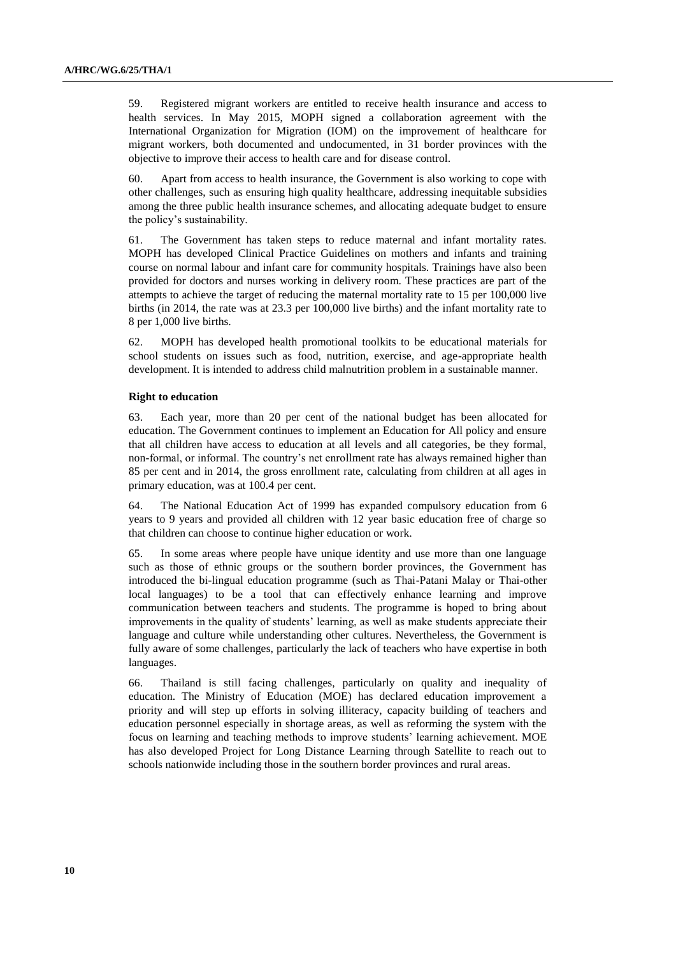59. Registered migrant workers are entitled to receive health insurance and access to health services. In May 2015, MOPH signed a collaboration agreement with the International Organization for Migration (IOM) on the improvement of healthcare for migrant workers, both documented and undocumented, in 31 border provinces with the objective to improve their access to health care and for disease control.

60. Apart from access to health insurance, the Government is also working to cope with other challenges, such as ensuring high quality healthcare, addressing inequitable subsidies among the three public health insurance schemes, and allocating adequate budget to ensure the policy's sustainability.

61. The Government has taken steps to reduce maternal and infant mortality rates. MOPH has developed Clinical Practice Guidelines on mothers and infants and training course on normal labour and infant care for community hospitals. Trainings have also been provided for doctors and nurses working in delivery room. These practices are part of the attempts to achieve the target of reducing the maternal mortality rate to 15 per 100,000 live births (in 2014, the rate was at 23.3 per 100,000 live births) and the infant mortality rate to 8 per 1,000 live births.

62. MOPH has developed health promotional toolkits to be educational materials for school students on issues such as food, nutrition, exercise, and age-appropriate health development. It is intended to address child malnutrition problem in a sustainable manner.

#### **Right to education**

63. Each year, more than 20 per cent of the national budget has been allocated for education. The Government continues to implement an Education for All policy and ensure that all children have access to education at all levels and all categories, be they formal, non-formal, or informal. The country's net enrollment rate has always remained higher than 85 per cent and in 2014, the gross enrollment rate, calculating from children at all ages in primary education, was at 100.4 per cent.

64. The National Education Act of 1999 has expanded compulsory education from 6 years to 9 years and provided all children with 12 year basic education free of charge so that children can choose to continue higher education or work.

65. In some areas where people have unique identity and use more than one language such as those of ethnic groups or the southern border provinces, the Government has introduced the bi-lingual education programme (such as Thai-Patani Malay or Thai-other local languages) to be a tool that can effectively enhance learning and improve communication between teachers and students. The programme is hoped to bring about improvements in the quality of students' learning, as well as make students appreciate their language and culture while understanding other cultures. Nevertheless, the Government is fully aware of some challenges, particularly the lack of teachers who have expertise in both languages.

66. Thailand is still facing challenges, particularly on quality and inequality of education. The Ministry of Education (MOE) has declared education improvement a priority and will step up efforts in solving illiteracy, capacity building of teachers and education personnel especially in shortage areas, as well as reforming the system with the focus on learning and teaching methods to improve students' learning achievement. MOE has also developed Project for Long Distance Learning through Satellite to reach out to schools nationwide including those in the southern border provinces and rural areas.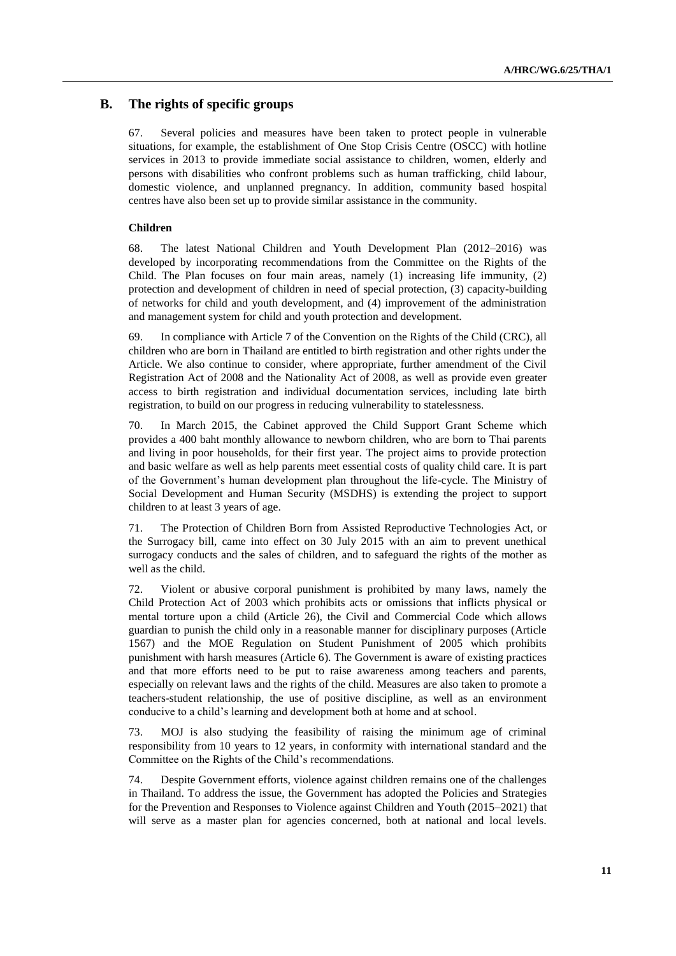## **B. The rights of specific groups**

67. Several policies and measures have been taken to protect people in vulnerable situations, for example, the establishment of One Stop Crisis Centre (OSCC) with hotline services in 2013 to provide immediate social assistance to children, women, elderly and persons with disabilities who confront problems such as human trafficking, child labour, domestic violence, and unplanned pregnancy. In addition, community based hospital centres have also been set up to provide similar assistance in the community.

### **Children**

68. The latest National Children and Youth Development Plan (2012–2016) was developed by incorporating recommendations from the Committee on the Rights of the Child. The Plan focuses on four main areas, namely (1) increasing life immunity, (2) protection and development of children in need of special protection, (3) capacity-building of networks for child and youth development, and (4) improvement of the administration and management system for child and youth protection and development.

69. In compliance with Article 7 of the Convention on the Rights of the Child (CRC), all children who are born in Thailand are entitled to birth registration and other rights under the Article. We also continue to consider, where appropriate, further amendment of the Civil Registration Act of 2008 and the Nationality Act of 2008, as well as provide even greater access to birth registration and individual documentation services, including late birth registration, to build on our progress in reducing vulnerability to statelessness.

70. In March 2015, the Cabinet approved the Child Support Grant Scheme which provides a 400 baht monthly allowance to newborn children, who are born to Thai parents and living in poor households, for their first year. The project aims to provide protection and basic welfare as well as help parents meet essential costs of quality child care. It is part of the Government's human development plan throughout the life-cycle. The Ministry of Social Development and Human Security (MSDHS) is extending the project to support children to at least 3 years of age.

71. The Protection of Children Born from Assisted Reproductive Technologies Act, or the Surrogacy bill, came into effect on 30 July 2015 with an aim to prevent unethical surrogacy conducts and the sales of children, and to safeguard the rights of the mother as well as the child.

72. Violent or abusive corporal punishment is prohibited by many laws, namely the Child Protection Act of 2003 which prohibits acts or omissions that inflicts physical or mental torture upon a child (Article 26), the Civil and Commercial Code which allows guardian to punish the child only in a reasonable manner for disciplinary purposes (Article 1567) and the MOE Regulation on Student Punishment of 2005 which prohibits punishment with harsh measures (Article 6). The Government is aware of existing practices and that more efforts need to be put to raise awareness among teachers and parents, especially on relevant laws and the rights of the child. Measures are also taken to promote a teachers-student relationship, the use of positive discipline, as well as an environment conducive to a child's learning and development both at home and at school.

73. MOJ is also studying the feasibility of raising the minimum age of criminal responsibility from 10 years to 12 years, in conformity with international standard and the Committee on the Rights of the Child's recommendations.

74. Despite Government efforts, violence against children remains one of the challenges in Thailand. To address the issue, the Government has adopted the Policies and Strategies for the Prevention and Responses to Violence against Children and Youth (2015–2021) that will serve as a master plan for agencies concerned, both at national and local levels.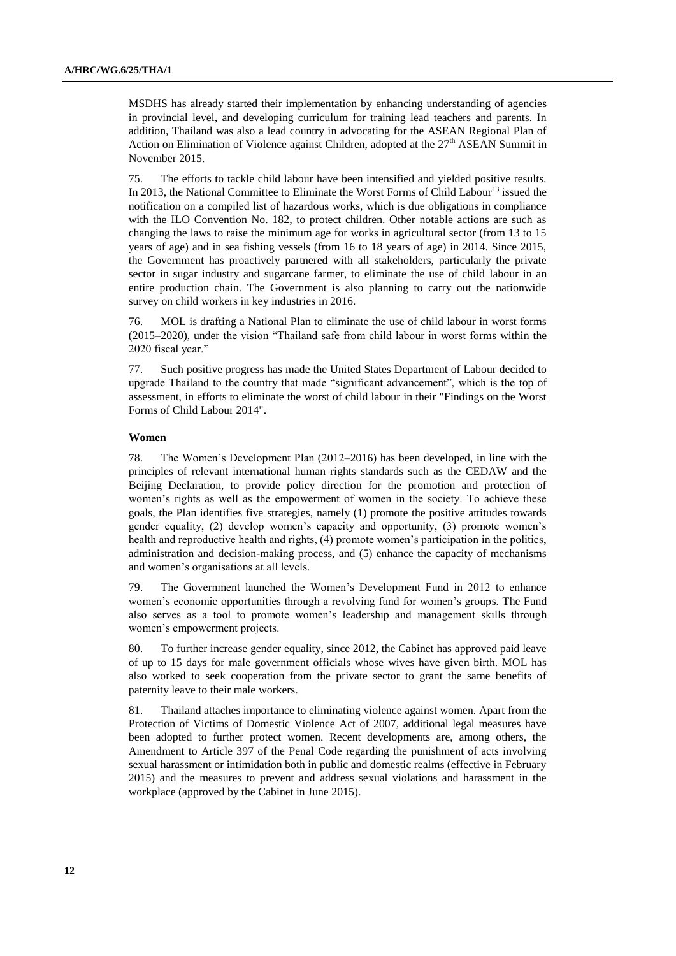MSDHS has already started their implementation by enhancing understanding of agencies in provincial level, and developing curriculum for training lead teachers and parents. In addition, Thailand was also a lead country in advocating for the ASEAN Regional Plan of Action on Elimination of Violence against Children, adopted at the  $27<sup>th</sup>$  ASEAN Summit in November 2015.

75. The efforts to tackle child labour have been intensified and yielded positive results. In 2013, the National Committee to Eliminate the Worst Forms of Child Labour<sup>13</sup> issued the notification on a compiled list of hazardous works, which is due obligations in compliance with the ILO Convention No. 182, to protect children. Other notable actions are such as changing the laws to raise the minimum age for works in agricultural sector (from 13 to 15 years of age) and in sea fishing vessels (from 16 to 18 years of age) in 2014. Since 2015, the Government has proactively partnered with all stakeholders, particularly the private sector in sugar industry and sugarcane farmer, to eliminate the use of child labour in an entire production chain. The Government is also planning to carry out the nationwide survey on child workers in key industries in 2016.

76. MOL is drafting a National Plan to eliminate the use of child labour in worst forms (2015–2020), under the vision "Thailand safe from child labour in worst forms within the 2020 fiscal year."

77. Such positive progress has made the United States Department of Labour decided to upgrade Thailand to the country that made "significant advancement", which is the top of assessment, in efforts to eliminate the worst of child labour in their "Findings on the Worst Forms of Child Labour 2014".

#### **Women**

78. The Women's Development Plan (2012–2016) has been developed, in line with the principles of relevant international human rights standards such as the CEDAW and the Beijing Declaration, to provide policy direction for the promotion and protection of women's rights as well as the empowerment of women in the society. To achieve these goals, the Plan identifies five strategies, namely (1) promote the positive attitudes towards gender equality, (2) develop women's capacity and opportunity, (3) promote women's health and reproductive health and rights, (4) promote women's participation in the politics, administration and decision-making process, and (5) enhance the capacity of mechanisms and women's organisations at all levels.

79. The Government launched the Women's Development Fund in 2012 to enhance women's economic opportunities through a revolving fund for women's groups. The Fund also serves as a tool to promote women's leadership and management skills through women's empowerment projects.

80. To further increase gender equality, since 2012, the Cabinet has approved paid leave of up to 15 days for male government officials whose wives have given birth. MOL has also worked to seek cooperation from the private sector to grant the same benefits of paternity leave to their male workers.

81. Thailand attaches importance to eliminating violence against women. Apart from the Protection of Victims of Domestic Violence Act of 2007, additional legal measures have been adopted to further protect women. Recent developments are, among others, the Amendment to Article 397 of the Penal Code regarding the punishment of acts involving sexual harassment or intimidation both in public and domestic realms (effective in February 2015) and the measures to prevent and address sexual violations and harassment in the workplace (approved by the Cabinet in June 2015).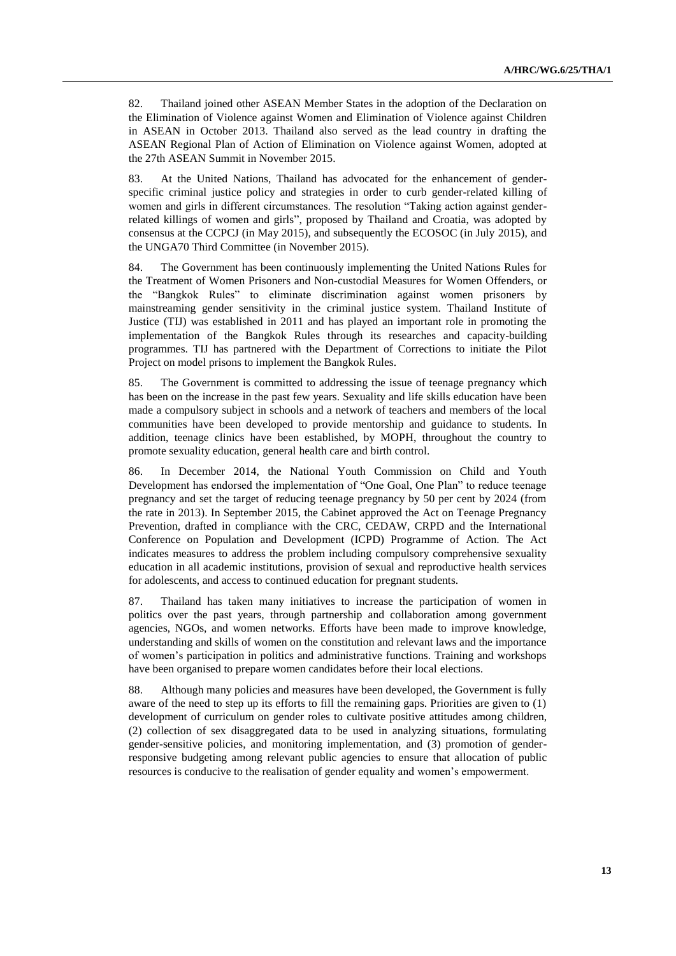82. Thailand joined other ASEAN Member States in the adoption of the Declaration on the Elimination of Violence against Women and Elimination of Violence against Children in ASEAN in October 2013. Thailand also served as the lead country in drafting the ASEAN Regional Plan of Action of Elimination on Violence against Women, adopted at the 27th ASEAN Summit in November 2015.

83. At the United Nations, Thailand has advocated for the enhancement of genderspecific criminal justice policy and strategies in order to curb gender-related killing of women and girls in different circumstances. The resolution "Taking action against genderrelated killings of women and girls", proposed by Thailand and Croatia, was adopted by consensus at the CCPCJ (in May 2015), and subsequently the ECOSOC (in July 2015), and the UNGA70 Third Committee (in November 2015).

84. The Government has been continuously implementing the United Nations Rules for the Treatment of Women Prisoners and Non-custodial Measures for Women Offenders, or the "Bangkok Rules" to eliminate discrimination against women prisoners by mainstreaming gender sensitivity in the criminal justice system. Thailand Institute of Justice (TIJ) was established in 2011 and has played an important role in promoting the implementation of the Bangkok Rules through its researches and capacity-building programmes. TIJ has partnered with the Department of Corrections to initiate the Pilot Project on model prisons to implement the Bangkok Rules.

85. The Government is committed to addressing the issue of teenage pregnancy which has been on the increase in the past few years. Sexuality and life skills education have been made a compulsory subject in schools and a network of teachers and members of the local communities have been developed to provide mentorship and guidance to students. In addition, teenage clinics have been established, by MOPH, throughout the country to promote sexuality education, general health care and birth control.

86. In December 2014, the National Youth Commission on Child and Youth Development has endorsed the implementation of "One Goal, One Plan" to reduce teenage pregnancy and set the target of reducing teenage pregnancy by 50 per cent by 2024 (from the rate in 2013). In September 2015, the Cabinet approved the Act on Teenage Pregnancy Prevention, drafted in compliance with the CRC, CEDAW, CRPD and the International Conference on Population and Development (ICPD) Programme of Action. The Act indicates measures to address the problem including compulsory comprehensive sexuality education in all academic institutions, provision of sexual and reproductive health services for adolescents, and access to continued education for pregnant students.

87. Thailand has taken many initiatives to increase the participation of women in politics over the past years, through partnership and collaboration among government agencies, NGOs, and women networks. Efforts have been made to improve knowledge, understanding and skills of women on the constitution and relevant laws and the importance of women's participation in politics and administrative functions. Training and workshops have been organised to prepare women candidates before their local elections.

88. Although many policies and measures have been developed, the Government is fully aware of the need to step up its efforts to fill the remaining gaps. Priorities are given to (1) development of curriculum on gender roles to cultivate positive attitudes among children, (2) collection of sex disaggregated data to be used in analyzing situations, formulating gender-sensitive policies, and monitoring implementation, and (3) promotion of genderresponsive budgeting among relevant public agencies to ensure that allocation of public resources is conducive to the realisation of gender equality and women's empowerment.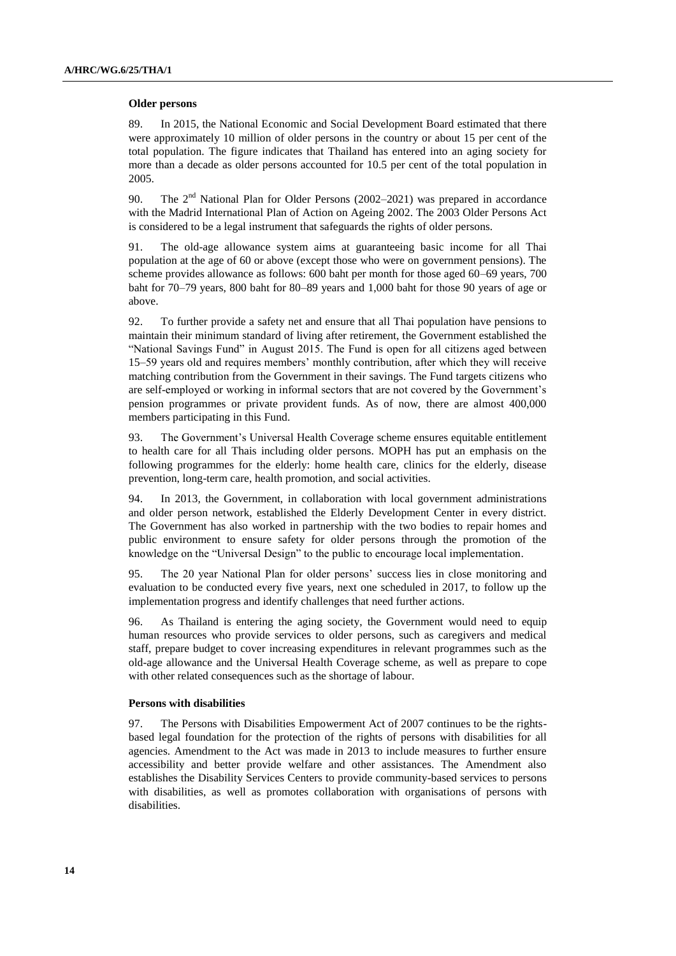#### **Older persons**

89. In 2015, the National Economic and Social Development Board estimated that there were approximately 10 million of older persons in the country or about 15 per cent of the total population. The figure indicates that Thailand has entered into an aging society for more than a decade as older persons accounted for 10.5 per cent of the total population in 2005.

90. The  $2<sup>nd</sup>$  National Plan for Older Persons (2002–2021) was prepared in accordance with the Madrid International Plan of Action on Ageing 2002. The 2003 Older Persons Act is considered to be a legal instrument that safeguards the rights of older persons.

91. The old-age allowance system aims at guaranteeing basic income for all Thai population at the age of 60 or above (except those who were on government pensions). The scheme provides allowance as follows: 600 baht per month for those aged 60–69 years, 700 baht for 70–79 years, 800 baht for 80–89 years and 1,000 baht for those 90 years of age or above.

92. To further provide a safety net and ensure that all Thai population have pensions to maintain their minimum standard of living after retirement, the Government established the "National Savings Fund" in August 2015. The Fund is open for all citizens aged between 15–59 years old and requires members' monthly contribution, after which they will receive matching contribution from the Government in their savings. The Fund targets citizens who are self-employed or working in informal sectors that are not covered by the Government's pension programmes or private provident funds. As of now, there are almost 400,000 members participating in this Fund.

93. The Government's Universal Health Coverage scheme ensures equitable entitlement to health care for all Thais including older persons. MOPH has put an emphasis on the following programmes for the elderly: home health care, clinics for the elderly, disease prevention, long-term care, health promotion, and social activities.

94. In 2013, the Government, in collaboration with local government administrations and older person network, established the Elderly Development Center in every district. The Government has also worked in partnership with the two bodies to repair homes and public environment to ensure safety for older persons through the promotion of the knowledge on the "Universal Design" to the public to encourage local implementation.

95. The 20 year National Plan for older persons' success lies in close monitoring and evaluation to be conducted every five years, next one scheduled in 2017, to follow up the implementation progress and identify challenges that need further actions.

96. As Thailand is entering the aging society, the Government would need to equip human resources who provide services to older persons, such as caregivers and medical staff, prepare budget to cover increasing expenditures in relevant programmes such as the old-age allowance and the Universal Health Coverage scheme, as well as prepare to cope with other related consequences such as the shortage of labour.

#### **Persons with disabilities**

97. The Persons with Disabilities Empowerment Act of 2007 continues to be the rightsbased legal foundation for the protection of the rights of persons with disabilities for all agencies. Amendment to the Act was made in 2013 to include measures to further ensure accessibility and better provide welfare and other assistances. The Amendment also establishes the Disability Services Centers to provide community-based services to persons with disabilities, as well as promotes collaboration with organisations of persons with disabilities.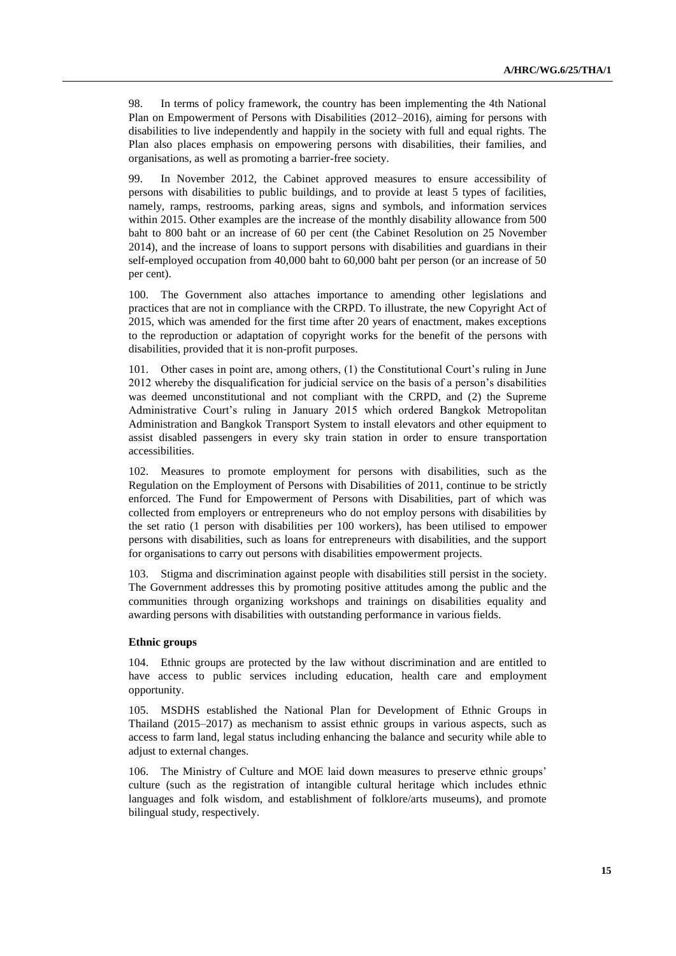98. In terms of policy framework, the country has been implementing the 4th National Plan on Empowerment of Persons with Disabilities (2012–2016), aiming for persons with disabilities to live independently and happily in the society with full and equal rights. The Plan also places emphasis on empowering persons with disabilities, their families, and organisations, as well as promoting a barrier-free society.

99. In November 2012, the Cabinet approved measures to ensure accessibility of persons with disabilities to public buildings, and to provide at least 5 types of facilities, namely, ramps, restrooms, parking areas, signs and symbols, and information services within 2015. Other examples are the increase of the monthly disability allowance from 500 baht to 800 baht or an increase of 60 per cent (the Cabinet Resolution on 25 November 2014), and the increase of loans to support persons with disabilities and guardians in their self-employed occupation from 40,000 baht to 60,000 baht per person (or an increase of 50 per cent).

100. The Government also attaches importance to amending other legislations and practices that are not in compliance with the CRPD. To illustrate, the new Copyright Act of 2015, which was amended for the first time after 20 years of enactment, makes exceptions to the reproduction or adaptation of copyright works for the benefit of the persons with disabilities, provided that it is non-profit purposes.

101. Other cases in point are, among others, (1) the Constitutional Court's ruling in June 2012 whereby the disqualification for judicial service on the basis of a person's disabilities was deemed unconstitutional and not compliant with the CRPD, and (2) the Supreme Administrative Court's ruling in January 2015 which ordered Bangkok Metropolitan Administration and Bangkok Transport System to install elevators and other equipment to assist disabled passengers in every sky train station in order to ensure transportation accessibilities.

102. Measures to promote employment for persons with disabilities, such as the Regulation on the Employment of Persons with Disabilities of 2011, continue to be strictly enforced. The Fund for Empowerment of Persons with Disabilities, part of which was collected from employers or entrepreneurs who do not employ persons with disabilities by the set ratio (1 person with disabilities per 100 workers), has been utilised to empower persons with disabilities, such as loans for entrepreneurs with disabilities, and the support for organisations to carry out persons with disabilities empowerment projects.

103. Stigma and discrimination against people with disabilities still persist in the society. The Government addresses this by promoting positive attitudes among the public and the communities through organizing workshops and trainings on disabilities equality and awarding persons with disabilities with outstanding performance in various fields.

#### **Ethnic groups**

104. Ethnic groups are protected by the law without discrimination and are entitled to have access to public services including education, health care and employment opportunity.

105. MSDHS established the National Plan for Development of Ethnic Groups in Thailand (2015–2017) as mechanism to assist ethnic groups in various aspects, such as access to farm land, legal status including enhancing the balance and security while able to adjust to external changes.

106. The Ministry of Culture and MOE laid down measures to preserve ethnic groups' culture (such as the registration of intangible cultural heritage which includes ethnic languages and folk wisdom, and establishment of folklore/arts museums), and promote bilingual study, respectively.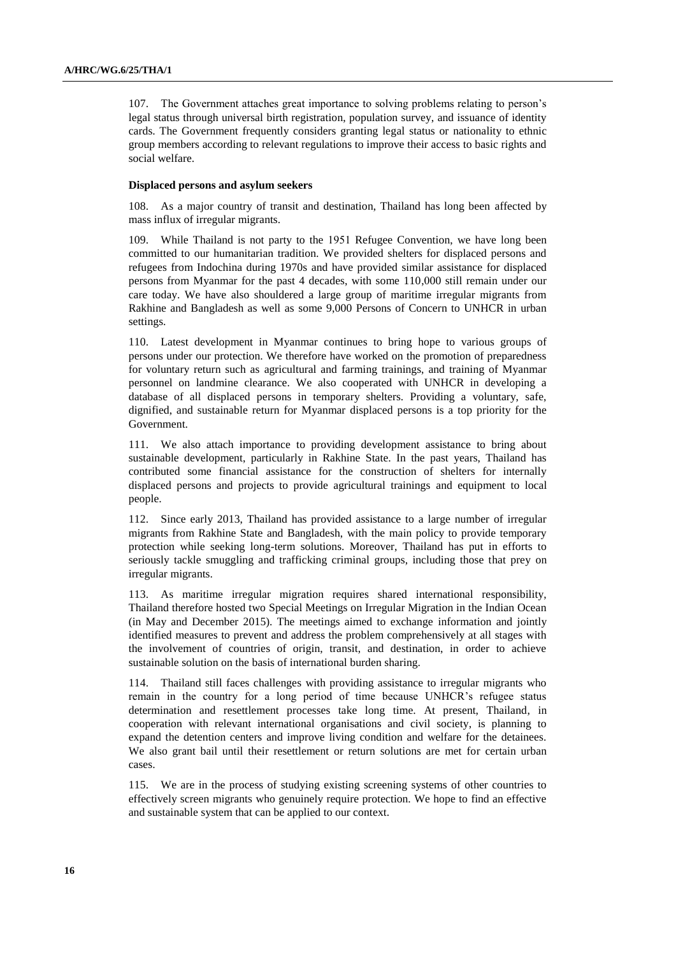107. The Government attaches great importance to solving problems relating to person's legal status through universal birth registration, population survey, and issuance of identity cards. The Government frequently considers granting legal status or nationality to ethnic group members according to relevant regulations to improve their access to basic rights and social welfare.

#### **Displaced persons and asylum seekers**

108. As a major country of transit and destination, Thailand has long been affected by mass influx of irregular migrants.

109. While Thailand is not party to the 1951 Refugee Convention, we have long been committed to our humanitarian tradition. We provided shelters for displaced persons and refugees from Indochina during 1970s and have provided similar assistance for displaced persons from Myanmar for the past 4 decades, with some 110,000 still remain under our care today. We have also shouldered a large group of maritime irregular migrants from Rakhine and Bangladesh as well as some 9,000 Persons of Concern to UNHCR in urban settings.

110. Latest development in Myanmar continues to bring hope to various groups of persons under our protection. We therefore have worked on the promotion of preparedness for voluntary return such as agricultural and farming trainings, and training of Myanmar personnel on landmine clearance. We also cooperated with UNHCR in developing a database of all displaced persons in temporary shelters. Providing a voluntary, safe, dignified, and sustainable return for Myanmar displaced persons is a top priority for the Government.

111. We also attach importance to providing development assistance to bring about sustainable development, particularly in Rakhine State. In the past years, Thailand has contributed some financial assistance for the construction of shelters for internally displaced persons and projects to provide agricultural trainings and equipment to local people.

112. Since early 2013, Thailand has provided assistance to a large number of irregular migrants from Rakhine State and Bangladesh, with the main policy to provide temporary protection while seeking long-term solutions. Moreover, Thailand has put in efforts to seriously tackle smuggling and trafficking criminal groups, including those that prey on irregular migrants.

113. As maritime irregular migration requires shared international responsibility, Thailand therefore hosted two Special Meetings on Irregular Migration in the Indian Ocean (in May and December 2015). The meetings aimed to exchange information and jointly identified measures to prevent and address the problem comprehensively at all stages with the involvement of countries of origin, transit, and destination, in order to achieve sustainable solution on the basis of international burden sharing.

114. Thailand still faces challenges with providing assistance to irregular migrants who remain in the country for a long period of time because UNHCR's refugee status determination and resettlement processes take long time. At present, Thailand, in cooperation with relevant international organisations and civil society, is planning to expand the detention centers and improve living condition and welfare for the detainees. We also grant bail until their resettlement or return solutions are met for certain urban cases.

115. We are in the process of studying existing screening systems of other countries to effectively screen migrants who genuinely require protection. We hope to find an effective and sustainable system that can be applied to our context.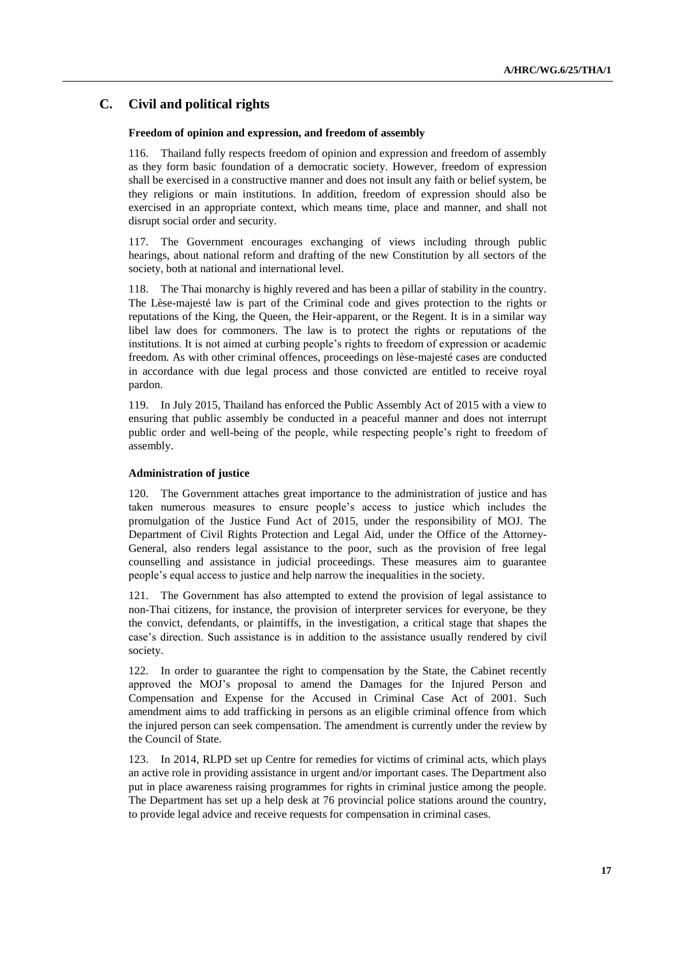## **C. Civil and political rights**

### **Freedom of opinion and expression, and freedom of assembly**

116. Thailand fully respects freedom of opinion and expression and freedom of assembly as they form basic foundation of a democratic society. However, freedom of expression shall be exercised in a constructive manner and does not insult any faith or belief system, be they religions or main institutions. In addition, freedom of expression should also be exercised in an appropriate context, which means time, place and manner, and shall not disrupt social order and security.

The Government encourages exchanging of views including through public hearings, about national reform and drafting of the new Constitution by all sectors of the society, both at national and international level.

118. The Thai monarchy is highly revered and has been a pillar of stability in the country. The Lèse-majesté law is part of the Criminal code and gives protection to the rights or reputations of the King, the Queen, the Heir-apparent, or the Regent. It is in a similar way libel law does for commoners. The law is to protect the rights or reputations of the institutions. It is not aimed at curbing people's rights to freedom of expression or academic freedom. As with other criminal offences, proceedings on lèse-majesté cases are conducted in accordance with due legal process and those convicted are entitled to receive royal pardon.

119. In July 2015, Thailand has enforced the Public Assembly Act of 2015 with a view to ensuring that public assembly be conducted in a peaceful manner and does not interrupt public order and well-being of the people, while respecting people's right to freedom of assembly.

#### **Administration of justice**

120. The Government attaches great importance to the administration of justice and has taken numerous measures to ensure people's access to justice which includes the promulgation of the Justice Fund Act of 2015, under the responsibility of MOJ. The Department of Civil Rights Protection and Legal Aid, under the Office of the Attorney-General, also renders legal assistance to the poor, such as the provision of free legal counselling and assistance in judicial proceedings. These measures aim to guarantee people's equal access to justice and help narrow the inequalities in the society.

121. The Government has also attempted to extend the provision of legal assistance to non-Thai citizens, for instance, the provision of interpreter services for everyone, be they the convict, defendants, or plaintiffs, in the investigation, a critical stage that shapes the case's direction. Such assistance is in addition to the assistance usually rendered by civil society.

122. In order to guarantee the right to compensation by the State, the Cabinet recently approved the MOJ's proposal to amend the Damages for the Injured Person and Compensation and Expense for the Accused in Criminal Case Act of 2001. Such amendment aims to add trafficking in persons as an eligible criminal offence from which the injured person can seek compensation. The amendment is currently under the review by the Council of State.

123. In 2014, RLPD set up Centre for remedies for victims of criminal acts, which plays an active role in providing assistance in urgent and/or important cases. The Department also put in place awareness raising programmes for rights in criminal justice among the people. The Department has set up a help desk at 76 provincial police stations around the country, to provide legal advice and receive requests for compensation in criminal cases.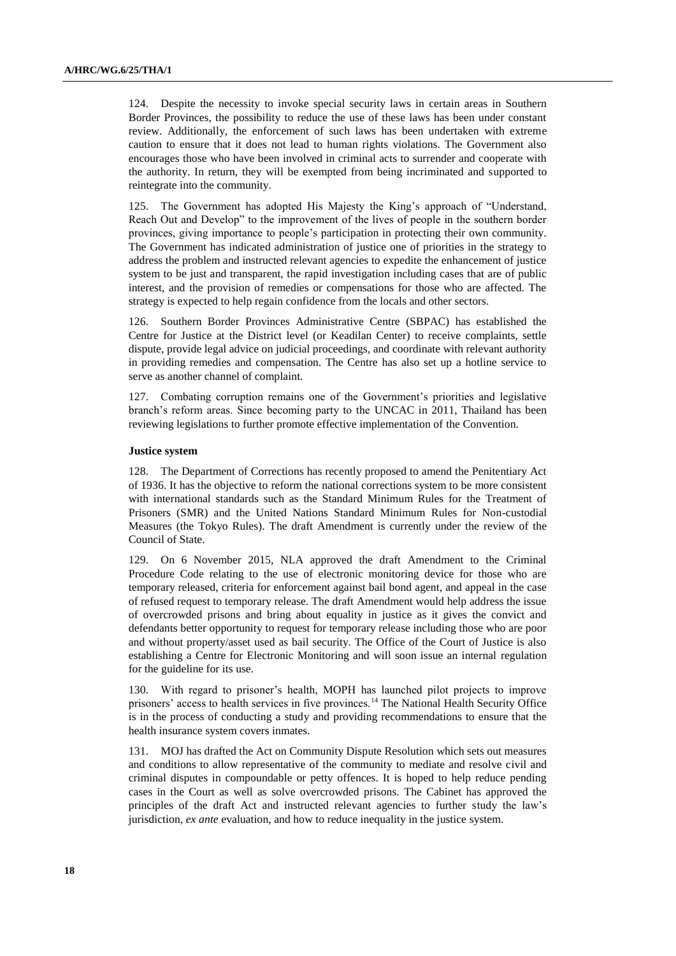124. Despite the necessity to invoke special security laws in certain areas in Southern Border Provinces, the possibility to reduce the use of these laws has been under constant review. Additionally, the enforcement of such laws has been undertaken with extreme caution to ensure that it does not lead to human rights violations. The Government also encourages those who have been involved in criminal acts to surrender and cooperate with the authority. In return, they will be exempted from being incriminated and supported to reintegrate into the community.

125. The Government has adopted His Majesty the King's approach of "Understand, Reach Out and Develop" to the improvement of the lives of people in the southern border provinces, giving importance to people's participation in protecting their own community. The Government has indicated administration of justice one of priorities in the strategy to address the problem and instructed relevant agencies to expedite the enhancement of justice system to be just and transparent, the rapid investigation including cases that are of public interest, and the provision of remedies or compensations for those who are affected. The strategy is expected to help regain confidence from the locals and other sectors.

126. Southern Border Provinces Administrative Centre (SBPAC) has established the Centre for Justice at the District level (or Keadilan Center) to receive complaints, settle dispute, provide legal advice on judicial proceedings, and coordinate with relevant authority in providing remedies and compensation. The Centre has also set up a hotline service to serve as another channel of complaint.

127. Combating corruption remains one of the Government's priorities and legislative branch's reform areas. Since becoming party to the UNCAC in 2011, Thailand has been reviewing legislations to further promote effective implementation of the Convention.

#### **Justice system**

128. The Department of Corrections has recently proposed to amend the Penitentiary Act of 1936. It has the objective to reform the national corrections system to be more consistent with international standards such as the Standard Minimum Rules for the Treatment of Prisoners (SMR) and the United Nations Standard Minimum Rules for Non-custodial Measures (the Tokyo Rules). The draft Amendment is currently under the review of the Council of State.

129. On 6 November 2015, NLA approved the draft Amendment to the Criminal Procedure Code relating to the use of electronic monitoring device for those who are temporary released, criteria for enforcement against bail bond agent, and appeal in the case of refused request to temporary release. The draft Amendment would help address the issue of overcrowded prisons and bring about equality in justice as it gives the convict and defendants better opportunity to request for temporary release including those who are poor and without property/asset used as bail security. The Office of the Court of Justice is also establishing a Centre for Electronic Monitoring and will soon issue an internal regulation for the guideline for its use.

130. With regard to prisoner's health, MOPH has launched pilot projects to improve prisoners' access to health services in five provinces.<sup>14</sup> The National Health Security Office is in the process of conducting a study and providing recommendations to ensure that the health insurance system covers inmates.

131. MOJ has drafted the Act on Community Dispute Resolution which sets out measures and conditions to allow representative of the community to mediate and resolve civil and criminal disputes in compoundable or petty offences. It is hoped to help reduce pending cases in the Court as well as solve overcrowded prisons. The Cabinet has approved the principles of the draft Act and instructed relevant agencies to further study the law's jurisdiction, *ex ante* evaluation, and how to reduce inequality in the justice system.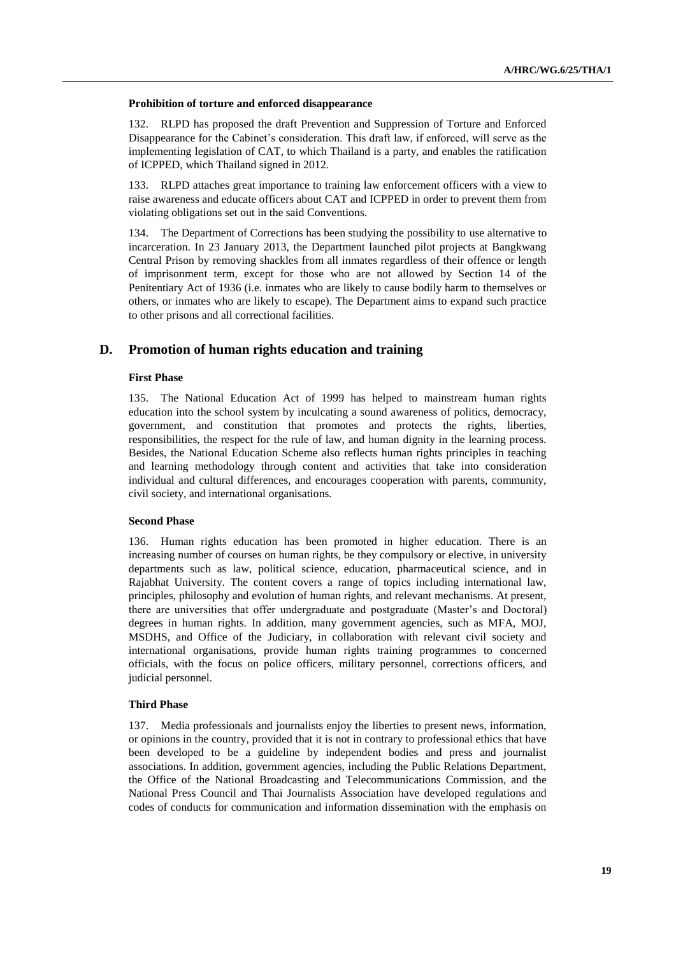#### **Prohibition of torture and enforced disappearance**

132. RLPD has proposed the draft Prevention and Suppression of Torture and Enforced Disappearance for the Cabinet's consideration. This draft law, if enforced, will serve as the implementing legislation of CAT, to which Thailand is a party, and enables the ratification of ICPPED, which Thailand signed in 2012.

133. RLPD attaches great importance to training law enforcement officers with a view to raise awareness and educate officers about CAT and ICPPED in order to prevent them from violating obligations set out in the said Conventions.

134. The Department of Corrections has been studying the possibility to use alternative to incarceration. In 23 January 2013, the Department launched pilot projects at Bangkwang Central Prison by removing shackles from all inmates regardless of their offence or length of imprisonment term, except for those who are not allowed by Section 14 of the Penitentiary Act of 1936 (i.e. inmates who are likely to cause bodily harm to themselves or others, or inmates who are likely to escape). The Department aims to expand such practice to other prisons and all correctional facilities.

## **D. Promotion of human rights education and training**

### **First Phase**

135. The National Education Act of 1999 has helped to mainstream human rights education into the school system by inculcating a sound awareness of politics, democracy, government, and constitution that promotes and protects the rights, liberties, responsibilities, the respect for the rule of law, and human dignity in the learning process. Besides, the National Education Scheme also reflects human rights principles in teaching and learning methodology through content and activities that take into consideration individual and cultural differences, and encourages cooperation with parents, community, civil society, and international organisations.

#### **Second Phase**

136. Human rights education has been promoted in higher education. There is an increasing number of courses on human rights, be they compulsory or elective, in university departments such as law, political science, education, pharmaceutical science, and in Rajabhat University. The content covers a range of topics including international law, principles, philosophy and evolution of human rights, and relevant mechanisms. At present, there are universities that offer undergraduate and postgraduate (Master's and Doctoral) degrees in human rights. In addition, many government agencies, such as MFA, MOJ, MSDHS, and Office of the Judiciary, in collaboration with relevant civil society and international organisations, provide human rights training programmes to concerned officials, with the focus on police officers, military personnel, corrections officers, and judicial personnel.

### **Third Phase**

137. Media professionals and journalists enjoy the liberties to present news, information, or opinions in the country, provided that it is not in contrary to professional ethics that have been developed to be a guideline by independent bodies and press and journalist associations. In addition, government agencies, including the Public Relations Department, the Office of the National Broadcasting and Telecommunications Commission, and the National Press Council and Thai Journalists Association have developed regulations and codes of conducts for communication and information dissemination with the emphasis on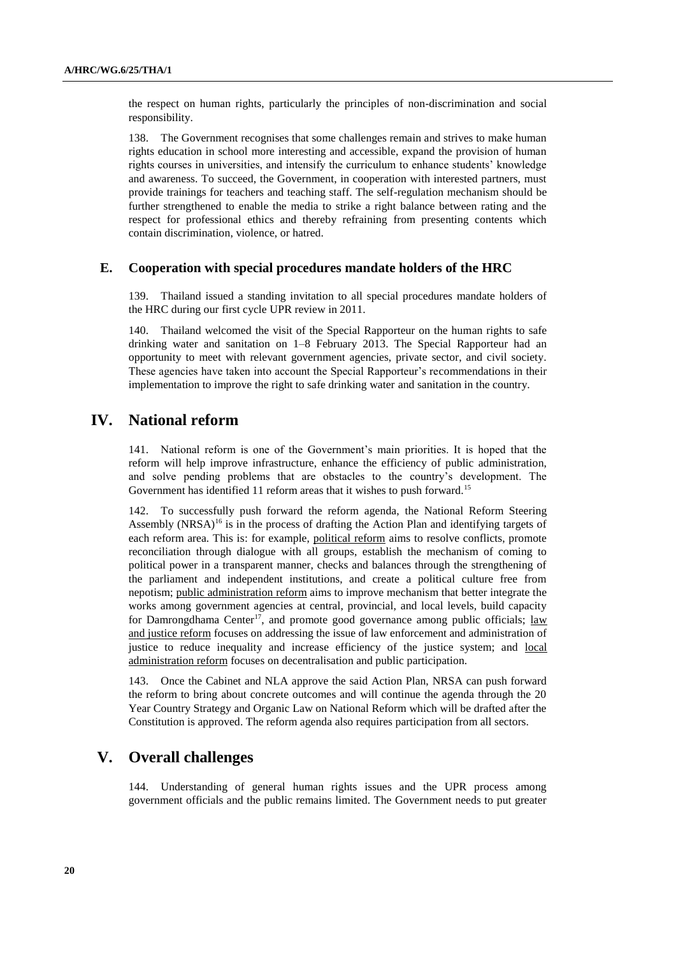the respect on human rights, particularly the principles of non-discrimination and social responsibility.

138. The Government recognises that some challenges remain and strives to make human rights education in school more interesting and accessible, expand the provision of human rights courses in universities, and intensify the curriculum to enhance students' knowledge and awareness. To succeed, the Government, in cooperation with interested partners, must provide trainings for teachers and teaching staff. The self-regulation mechanism should be further strengthened to enable the media to strike a right balance between rating and the respect for professional ethics and thereby refraining from presenting contents which contain discrimination, violence, or hatred.

### **E. Cooperation with special procedures mandate holders of the HRC**

139. Thailand issued a standing invitation to all special procedures mandate holders of the HRC during our first cycle UPR review in 2011.

140. Thailand welcomed the visit of the Special Rapporteur on the human rights to safe drinking water and sanitation on 1–8 February 2013. The Special Rapporteur had an opportunity to meet with relevant government agencies, private sector, and civil society. These agencies have taken into account the Special Rapporteur's recommendations in their implementation to improve the right to safe drinking water and sanitation in the country.

# **IV. National reform**

141. National reform is one of the Government's main priorities. It is hoped that the reform will help improve infrastructure, enhance the efficiency of public administration, and solve pending problems that are obstacles to the country's development. The Government has identified 11 reform areas that it wishes to push forward.<sup>15</sup>

142. To successfully push forward the reform agenda, the National Reform Steering Assembly  $(NRSA)^{16}$  is in the process of drafting the Action Plan and identifying targets of each reform area. This is: for example, political reform aims to resolve conflicts, promote reconciliation through dialogue with all groups, establish the mechanism of coming to political power in a transparent manner, checks and balances through the strengthening of the parliament and independent institutions, and create a political culture free from nepotism; public administration reform aims to improve mechanism that better integrate the works among government agencies at central, provincial, and local levels, build capacity for Damrongdhama Center<sup>17</sup>, and promote good governance among public officials; law and justice reform focuses on addressing the issue of law enforcement and administration of justice to reduce inequality and increase efficiency of the justice system; and local administration reform focuses on decentralisation and public participation.

143. Once the Cabinet and NLA approve the said Action Plan, NRSA can push forward the reform to bring about concrete outcomes and will continue the agenda through the 20 Year Country Strategy and Organic Law on National Reform which will be drafted after the Constitution is approved. The reform agenda also requires participation from all sectors.

## **V. Overall challenges**

144. Understanding of general human rights issues and the UPR process among government officials and the public remains limited. The Government needs to put greater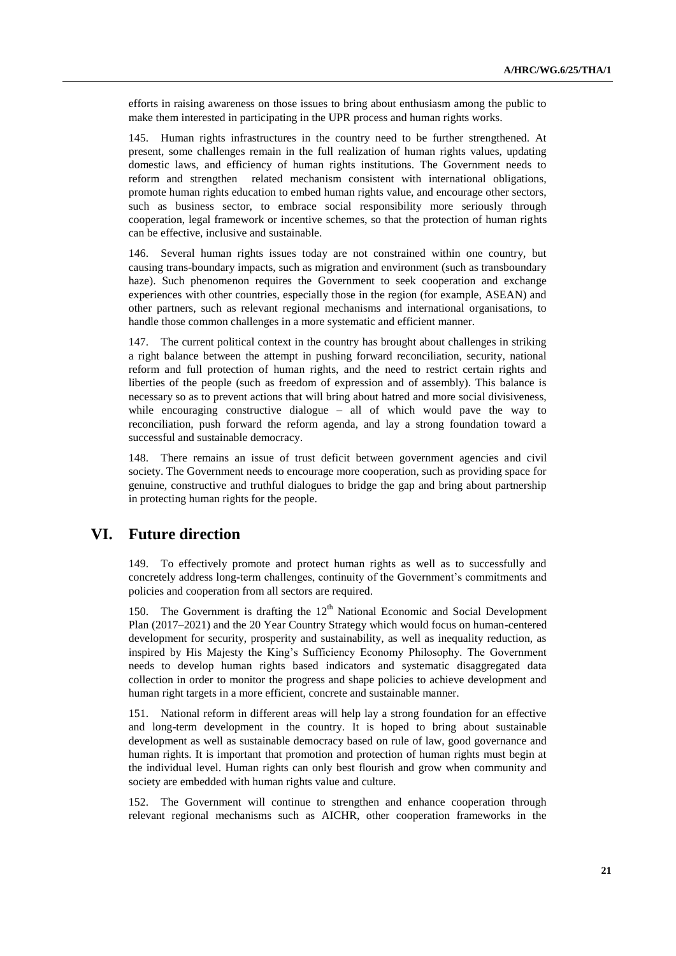efforts in raising awareness on those issues to bring about enthusiasm among the public to make them interested in participating in the UPR process and human rights works.

145. Human rights infrastructures in the country need to be further strengthened. At present, some challenges remain in the full realization of human rights values, updating domestic laws, and efficiency of human rights institutions. The Government needs to reform and strengthen related mechanism consistent with international obligations, promote human rights education to embed human rights value, and encourage other sectors, such as business sector, to embrace social responsibility more seriously through cooperation, legal framework or incentive schemes, so that the protection of human rights can be effective, inclusive and sustainable.

146. Several human rights issues today are not constrained within one country, but causing trans-boundary impacts, such as migration and environment (such as transboundary haze). Such phenomenon requires the Government to seek cooperation and exchange experiences with other countries, especially those in the region (for example, ASEAN) and other partners, such as relevant regional mechanisms and international organisations, to handle those common challenges in a more systematic and efficient manner.

147. The current political context in the country has brought about challenges in striking a right balance between the attempt in pushing forward reconciliation, security, national reform and full protection of human rights, and the need to restrict certain rights and liberties of the people (such as freedom of expression and of assembly). This balance is necessary so as to prevent actions that will bring about hatred and more social divisiveness, while encouraging constructive dialogue – all of which would pave the way to reconciliation, push forward the reform agenda, and lay a strong foundation toward a successful and sustainable democracy.

148. There remains an issue of trust deficit between government agencies and civil society. The Government needs to encourage more cooperation, such as providing space for genuine, constructive and truthful dialogues to bridge the gap and bring about partnership in protecting human rights for the people.

# **VI. Future direction**

149. To effectively promote and protect human rights as well as to successfully and concretely address long-term challenges, continuity of the Government's commitments and policies and cooperation from all sectors are required.

150. The Government is drafting the 12<sup>th</sup> National Economic and Social Development Plan (2017–2021) and the 20 Year Country Strategy which would focus on human-centered development for security, prosperity and sustainability, as well as inequality reduction, as inspired by His Majesty the King's Sufficiency Economy Philosophy. The Government needs to develop human rights based indicators and systematic disaggregated data collection in order to monitor the progress and shape policies to achieve development and human right targets in a more efficient, concrete and sustainable manner.

151. National reform in different areas will help lay a strong foundation for an effective and long-term development in the country. It is hoped to bring about sustainable development as well as sustainable democracy based on rule of law, good governance and human rights. It is important that promotion and protection of human rights must begin at the individual level. Human rights can only best flourish and grow when community and society are embedded with human rights value and culture.

152. The Government will continue to strengthen and enhance cooperation through relevant regional mechanisms such as AICHR, other cooperation frameworks in the